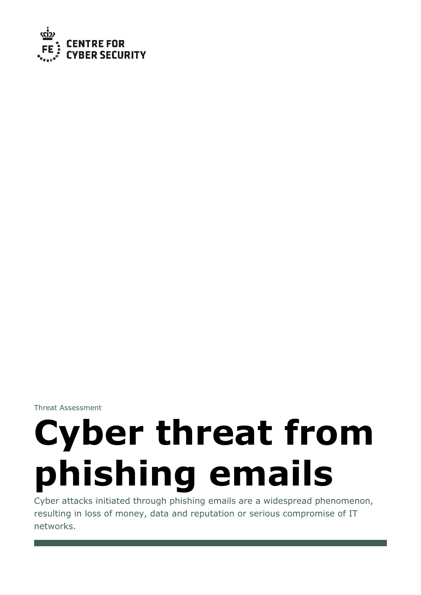

Threat Assessment

# **Cyber threat from phishing emails**

Cyber attacks initiated through phishing emails are a widespread phenomenon, resulting in loss of money, data and reputation or serious compromise of IT networks.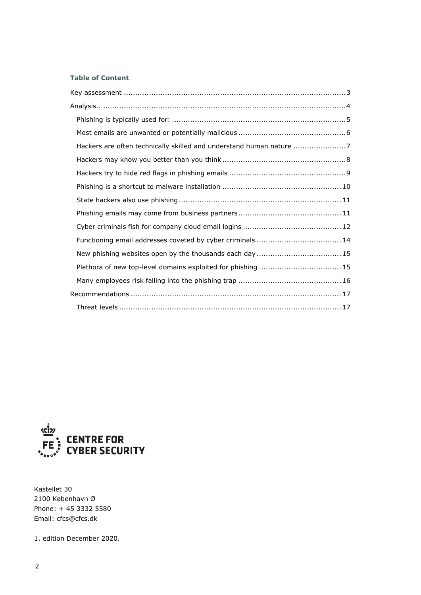# **Table of Content**

| Hackers are often technically skilled and understand human nature 7 |  |
|---------------------------------------------------------------------|--|
|                                                                     |  |
|                                                                     |  |
|                                                                     |  |
|                                                                     |  |
|                                                                     |  |
|                                                                     |  |
|                                                                     |  |
|                                                                     |  |
| Plethora of new top-level domains exploited for phishing  15        |  |
|                                                                     |  |
|                                                                     |  |
|                                                                     |  |



Kastellet 30 2100 København Ø Phone: + 45 3332 5580 Email: cfcs@cfcs.dk

1. edition December 2020.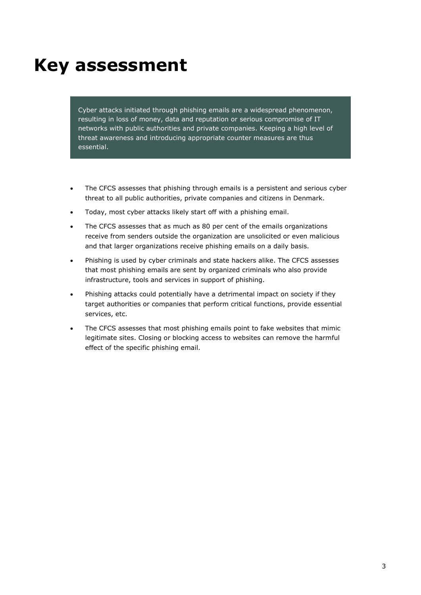# <span id="page-2-0"></span>**Key assessment**

Cyber attacks initiated through phishing emails are a widespread phenomenon, resulting in loss of money, data and reputation or serious compromise of IT networks with public authorities and private companies. Keeping a high level of threat awareness and introducing appropriate counter measures are thus essential.

- The CFCS assesses that phishing through emails is a persistent and serious cyber threat to all public authorities, private companies and citizens in Denmark.
- Today, most cyber attacks likely start off with a phishing email.
- The CFCS assesses that as much as 80 per cent of the emails organizations receive from senders outside the organization are unsolicited or even malicious and that larger organizations receive phishing emails on a daily basis.
- Phishing is used by cyber criminals and state hackers alike. The CFCS assesses that most phishing emails are sent by organized criminals who also provide infrastructure, tools and services in support of phishing.
- Phishing attacks could potentially have a detrimental impact on society if they target authorities or companies that perform critical functions, provide essential services, etc.
- The CFCS assesses that most phishing emails point to fake websites that mimic legitimate sites. Closing or blocking access to websites can remove the harmful effect of the specific phishing email.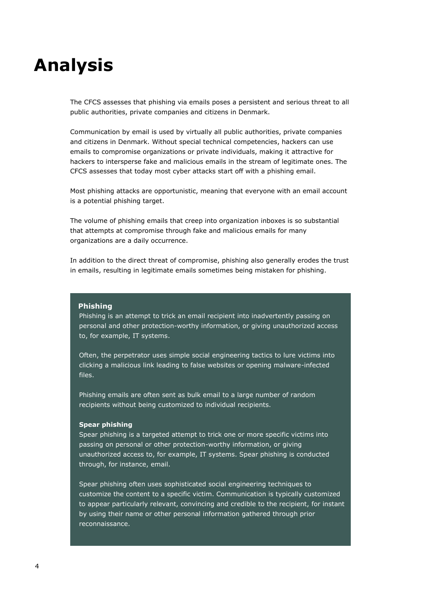# <span id="page-3-0"></span>**Analysis**

The CFCS assesses that phishing via emails poses a persistent and serious threat to all public authorities, private companies and citizens in Denmark.

Communication by email is used by virtually all public authorities, private companies and citizens in Denmark. Without special technical competencies, hackers can use emails to compromise organizations or private individuals, making it attractive for hackers to intersperse fake and malicious emails in the stream of legitimate ones. The CFCS assesses that today most cyber attacks start off with a phishing email.

Most phishing attacks are opportunistic, meaning that everyone with an email account is a potential phishing target.

The volume of phishing emails that creep into organization inboxes is so substantial that attempts at compromise through fake and malicious emails for many organizations are a daily occurrence.

In addition to the direct threat of compromise, phishing also generally erodes the trust in emails, resulting in legitimate emails sometimes being mistaken for phishing.

#### **Phishing**

Phishing is an attempt to trick an email recipient into inadvertently passing on personal and other protection-worthy information, or giving unauthorized access to, for example, IT systems.

Often, the perpetrator uses simple social engineering tactics to lure victims into clicking a malicious link leading to false websites or opening malware-infected files.

Phishing emails are often sent as bulk email to a large number of random recipients without being customized to individual recipients.

#### **Spear phishing**

Spear phishing is a targeted attempt to trick one or more specific victims into passing on personal or other protection-worthy information, or giving unauthorized access to, for example, IT systems. Spear phishing is conducted through, for instance, email.

Spear phishing often uses sophisticated social engineering techniques to customize the content to a specific victim. Communication is typically customized to appear particularly relevant, convincing and credible to the recipient, for instant by using their name or other personal information gathered through prior reconnaissance.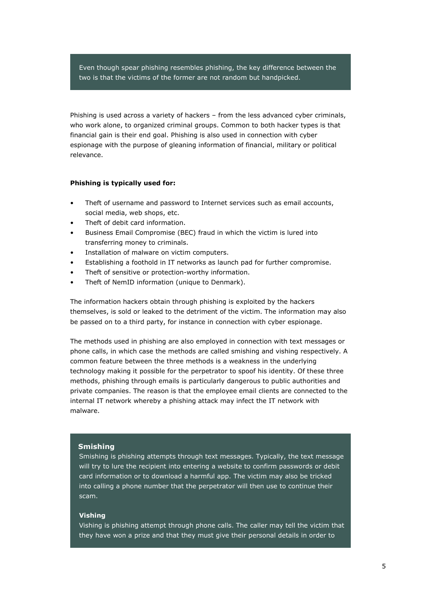Even though spear phishing resembles phishing, the key difference between the two is that the victims of the former are not random but handpicked.

Phishing is used across a variety of hackers – from the less advanced cyber criminals, who work alone, to organized criminal groups. Common to both hacker types is that financial gain is their end goal. Phishing is also used in connection with cyber espionage with the purpose of gleaning information of financial, military or political relevance.

#### <span id="page-4-0"></span>**Phishing is typically used for:**

- Theft of username and password to Internet services such as email accounts, social media, web shops, etc.
- Theft of debit card information.
- Business Email Compromise (BEC) fraud in which the victim is lured into transferring money to criminals.
- Installation of malware on victim computers.
- Establishing a foothold in IT networks as launch pad for further compromise.
- Theft of sensitive or protection-worthy information.
- Theft of NemID information (unique to Denmark).

The information hackers obtain through phishing is exploited by the hackers themselves, is sold or leaked to the detriment of the victim. The information may also be passed on to a third party, for instance in connection with cyber espionage.

The methods used in phishing are also employed in connection with text messages or phone calls, in which case the methods are called smishing and vishing respectively. A common feature between the three methods is a weakness in the underlying technology making it possible for the perpetrator to spoof his identity. Of these three methods, phishing through emails is particularly dangerous to public authorities and private companies. The reason is that the employee email clients are connected to the internal IT network whereby a phishing attack may infect the IT network with malware.

#### **Smishing**

Smishing is phishing attempts through text messages. Typically, the text message will try to lure the recipient into entering a website to confirm passwords or debit card information or to download a harmful app. The victim may also be tricked into calling a phone number that the perpetrator will then use to continue their scam.

# **Vishing**

Vishing is phishing attempt through phone calls. The caller may tell the victim that they have won a prize and that they must give their personal details in order to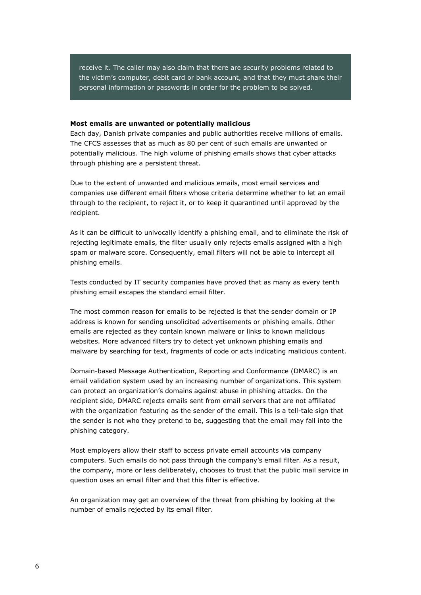receive it. The caller may also claim that there are security problems related to the victim's computer, debit card or bank account, and that they must share their personal information or passwords in order for the problem to be solved.

#### <span id="page-5-0"></span>**Most emails are unwanted or potentially malicious**

Each day, Danish private companies and public authorities receive millions of emails. The CFCS assesses that as much as 80 per cent of such emails are unwanted or potentially malicious. The high volume of phishing emails shows that cyber attacks through phishing are a persistent threat.

Due to the extent of unwanted and malicious emails, most email services and companies use different email filters whose criteria determine whether to let an email through to the recipient, to reject it, or to keep it quarantined until approved by the recipient.

As it can be difficult to univocally identify a phishing email, and to eliminate the risk of rejecting legitimate emails, the filter usually only rejects emails assigned with a high spam or malware score. Consequently, email filters will not be able to intercept all phishing emails.

Tests conducted by IT security companies have proved that as many as every tenth phishing email escapes the standard email filter.

The most common reason for emails to be rejected is that the sender domain or IP address is known for sending unsolicited advertisements or phishing emails. Other emails are rejected as they contain known malware or links to known malicious websites. More advanced filters try to detect yet unknown phishing emails and malware by searching for text, fragments of code or acts indicating malicious content.

Domain-based Message Authentication, Reporting and Conformance (DMARC) is an email validation system used by an increasing number of organizations. This system can protect an organization's domains against abuse in phishing attacks. On the recipient side, DMARC rejects emails sent from email servers that are not affiliated with the organization featuring as the sender of the email. This is a tell-tale sign that the sender is not who they pretend to be, suggesting that the email may fall into the phishing category.

Most employers allow their staff to access private email accounts via company computers. Such emails do not pass through the company's email filter. As a result, the company, more or less deliberately, chooses to trust that the public mail service in question uses an email filter and that this filter is effective.

An organization may get an overview of the threat from phishing by looking at the number of emails rejected by its email filter.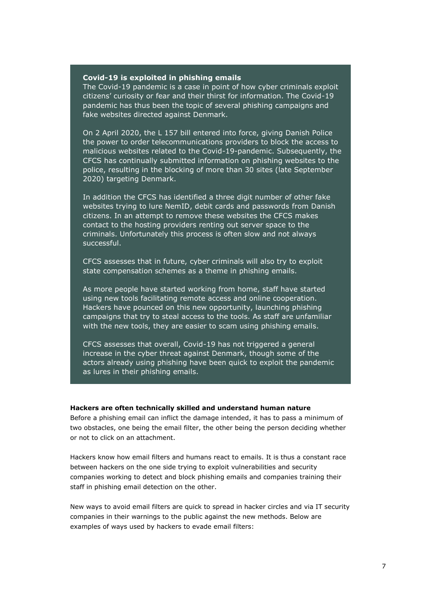#### **Covid-19 is exploited in phishing emails**

The Covid-19 pandemic is a case in point of how cyber criminals exploit citizens' curiosity or fear and their thirst for information. The Covid-19 pandemic has thus been the topic of several phishing campaigns and fake websites directed against Denmark.

On 2 April 2020, the L 157 bill entered into force, giving Danish Police the power to order telecommunications providers to block the access to malicious websites related to the Covid-19-pandemic. Subsequently, the CFCS has continually submitted information on phishing websites to the police, resulting in the blocking of more than 30 sites (late September 2020) targeting Denmark.

In addition the CFCS has identified a three digit number of other fake websites trying to lure NemID, debit cards and passwords from Danish citizens. In an attempt to remove these websites the CFCS makes contact to the hosting providers renting out server space to the criminals. Unfortunately this process is often slow and not always successful.

CFCS assesses that in future, cyber criminals will also try to exploit state compensation schemes as a theme in phishing emails.

As more people have started working from home, staff have started using new tools facilitating remote access and online cooperation. Hackers have pounced on this new opportunity, launching phishing campaigns that try to steal access to the tools. As staff are unfamiliar with the new tools, they are easier to scam using phishing emails.

CFCS assesses that overall, Covid-19 has not triggered a general increase in the cyber threat against Denmark, though some of the actors already using phishing have been quick to exploit the pandemic as lures in their phishing emails.

#### <span id="page-6-0"></span>**Hackers are often technically skilled and understand human nature**

Before a phishing email can inflict the damage intended, it has to pass a minimum of two obstacles, one being the email filter, the other being the person deciding whether or not to click on an attachment.

Hackers know how email filters and humans react to emails. It is thus a constant race between hackers on the one side trying to exploit vulnerabilities and security companies working to detect and block phishing emails and companies training their staff in phishing email detection on the other.

New ways to avoid email filters are quick to spread in hacker circles and via IT security companies in their warnings to the public against the new methods. Below are examples of ways used by hackers to evade email filters: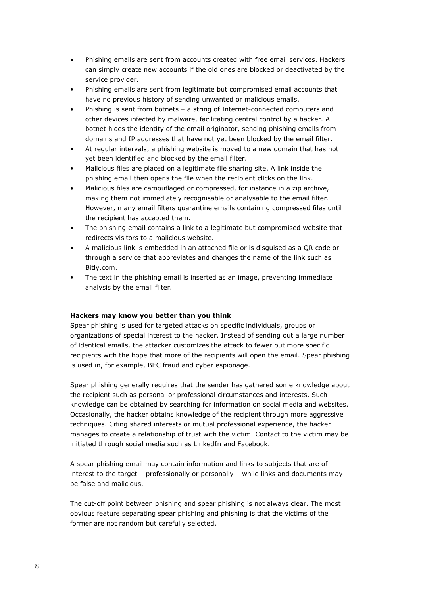- Phishing emails are sent from accounts created with free email services. Hackers can simply create new accounts if the old ones are blocked or deactivated by the service provider.
- Phishing emails are sent from legitimate but compromised email accounts that have no previous history of sending unwanted or malicious emails.
- Phishing is sent from botnets a string of Internet-connected computers and other devices infected by malware, facilitating central control by a hacker. A botnet hides the identity of the email originator, sending phishing emails from domains and IP addresses that have not yet been blocked by the email filter.
- At regular intervals, a phishing website is moved to a new domain that has not yet been identified and blocked by the email filter.
- Malicious files are placed on a legitimate file sharing site. A link inside the phishing email then opens the file when the recipient clicks on the link.
- Malicious files are camouflaged or compressed, for instance in a zip archive, making them not immediately recognisable or analysable to the email filter. However, many email filters quarantine emails containing compressed files until the recipient has accepted them.
- The phishing email contains a link to a legitimate but compromised website that redirects visitors to a malicious website.
- A malicious link is embedded in an attached file or is disguised as a QR code or through a service that abbreviates and changes the name of the link such as Bitly.com.
- The text in the phishing email is inserted as an image, preventing immediate analysis by the email filter.

# <span id="page-7-0"></span>**Hackers may know you better than you think**

Spear phishing is used for targeted attacks on specific individuals, groups or organizations of special interest to the hacker. Instead of sending out a large number of identical emails, the attacker customizes the attack to fewer but more specific recipients with the hope that more of the recipients will open the email. Spear phishing is used in, for example, BEC fraud and cyber espionage.

Spear phishing generally requires that the sender has gathered some knowledge about the recipient such as personal or professional circumstances and interests. Such knowledge can be obtained by searching for information on social media and websites. Occasionally, the hacker obtains knowledge of the recipient through more aggressive techniques. Citing shared interests or mutual professional experience, the hacker manages to create a relationship of trust with the victim. Contact to the victim may be initiated through social media such as LinkedIn and Facebook.

A spear phishing email may contain information and links to subjects that are of interest to the target – professionally or personally – while links and documents may be false and malicious.

The cut-off point between phishing and spear phishing is not always clear. The most obvious feature separating spear phishing and phishing is that the victims of the former are not random but carefully selected.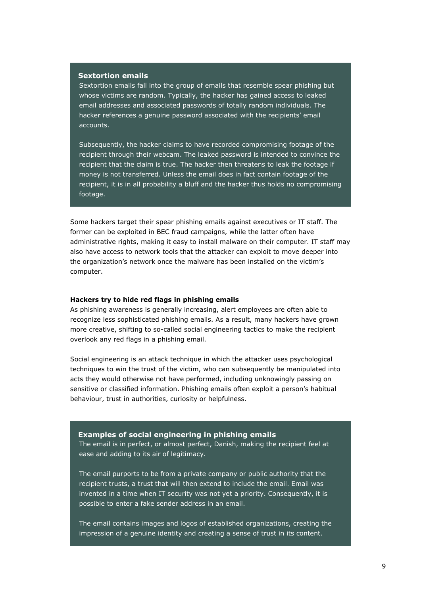#### **Sextortion emails**

Sextortion emails fall into the group of emails that resemble spear phishing but whose victims are random. Typically, the hacker has gained access to leaked email addresses and associated passwords of totally random individuals. The hacker references a genuine password associated with the recipients' email accounts.

Subsequently, the hacker claims to have recorded compromising footage of the recipient through their webcam. The leaked password is intended to convince the recipient that the claim is true. The hacker then threatens to leak the footage if money is not transferred. Unless the email does in fact contain footage of the recipient, it is in all probability a bluff and the hacker thus holds no compromising footage.

Some hackers target their spear phishing emails against executives or IT staff. The former can be exploited in BEC fraud campaigns, while the latter often have administrative rights, making it easy to install malware on their computer. IT staff may also have access to network tools that the attacker can exploit to move deeper into the organization's network once the malware has been installed on the victim's computer.

## <span id="page-8-0"></span>**Hackers try to hide red flags in phishing emails**

As phishing awareness is generally increasing, alert employees are often able to recognize less sophisticated phishing emails. As a result, many hackers have grown more creative, shifting to so-called social engineering tactics to make the recipient overlook any red flags in a phishing email.

Social engineering is an attack technique in which the attacker uses psychological techniques to win the trust of the victim, who can subsequently be manipulated into acts they would otherwise not have performed, including unknowingly passing on sensitive or classified information. Phishing emails often exploit a person's habitual behaviour, trust in authorities, curiosity or helpfulness.

#### **Examples of social engineering in phishing emails**

The email is in perfect, or almost perfect, Danish, making the recipient feel at ease and adding to its air of legitimacy.

The email purports to be from a private company or public authority that the recipient trusts, a trust that will then extend to include the email. Email was invented in a time when IT security was not yet a priority. Consequently, it is possible to enter a fake sender address in an email.

The email contains images and logos of established organizations, creating the impression of a genuine identity and creating a sense of trust in its content.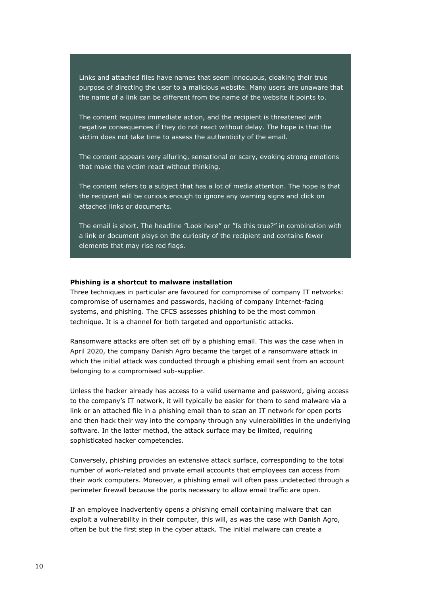Links and attached files have names that seem innocuous, cloaking their true purpose of directing the user to a malicious website. Many users are unaware that the name of a link can be different from the name of the website it points to.

The content requires immediate action, and the recipient is threatened with negative consequences if they do not react without delay. The hope is that the victim does not take time to assess the authenticity of the email.

The content appears very alluring, sensational or scary, evoking strong emotions that make the victim react without thinking.

The content refers to a subject that has a lot of media attention. The hope is that the recipient will be curious enough to ignore any warning signs and click on attached links or documents.

The email is short. The headline "Look here" or "Is this true?" in combination with a link or document plays on the curiosity of the recipient and contains fewer elements that may rise red flags.

#### <span id="page-9-0"></span>**Phishing is a shortcut to malware installation**

Three techniques in particular are favoured for compromise of company IT networks: compromise of usernames and passwords, hacking of company Internet-facing systems, and phishing. The CFCS assesses phishing to be the most common technique. It is a channel for both targeted and opportunistic attacks.

Ransomware attacks are often set off by a phishing email. This was the case when in April 2020, the company Danish Agro became the target of a ransomware attack in which the initial attack was conducted through a phishing email sent from an account belonging to a compromised sub-supplier.

Unless the hacker already has access to a valid username and password, giving access to the company's IT network, it will typically be easier for them to send malware via a link or an attached file in a phishing email than to scan an IT network for open ports and then hack their way into the company through any vulnerabilities in the underlying software. In the latter method, the attack surface may be limited, requiring sophisticated hacker competencies.

Conversely, phishing provides an extensive attack surface, corresponding to the total number of work-related and private email accounts that employees can access from their work computers. Moreover, a phishing email will often pass undetected through a perimeter firewall because the ports necessary to allow email traffic are open.

If an employee inadvertently opens a phishing email containing malware that can exploit a vulnerability in their computer, this will, as was the case with Danish Agro, often be but the first step in the cyber attack. The initial malware can create a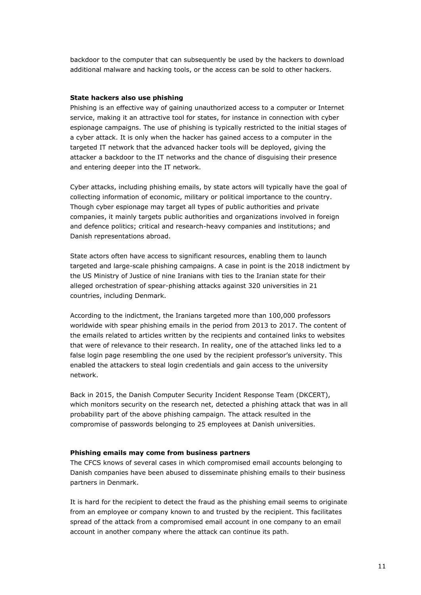backdoor to the computer that can subsequently be used by the hackers to download additional malware and hacking tools, or the access can be sold to other hackers.

### <span id="page-10-0"></span>**State hackers also use phishing**

Phishing is an effective way of gaining unauthorized access to a computer or Internet service, making it an attractive tool for states, for instance in connection with cyber espionage campaigns. The use of phishing is typically restricted to the initial stages of a cyber attack. It is only when the hacker has gained access to a computer in the targeted IT network that the advanced hacker tools will be deployed, giving the attacker a backdoor to the IT networks and the chance of disguising their presence and entering deeper into the IT network.

Cyber attacks, including phishing emails, by state actors will typically have the goal of collecting information of economic, military or political importance to the country. Though cyber espionage may target all types of public authorities and private companies, it mainly targets public authorities and organizations involved in foreign and defence politics; critical and research-heavy companies and institutions; and Danish representations abroad.

State actors often have access to significant resources, enabling them to launch targeted and large-scale phishing campaigns. A case in point is the 2018 indictment by the US Ministry of Justice of nine Iranians with ties to the Iranian state for their alleged orchestration of spear-phishing attacks against 320 universities in 21 countries, including Denmark.

According to the indictment, the Iranians targeted more than 100,000 professors worldwide with spear phishing emails in the period from 2013 to 2017. The content of the emails related to articles written by the recipients and contained links to websites that were of relevance to their research. In reality, one of the attached links led to a false login page resembling the one used by the recipient professor's university. This enabled the attackers to steal login credentials and gain access to the university network.

Back in 2015, the Danish Computer Security Incident Response Team (DKCERT), which monitors security on the research net, detected a phishing attack that was in all probability part of the above phishing campaign. The attack resulted in the compromise of passwords belonging to 25 employees at Danish universities.

#### <span id="page-10-1"></span>**Phishing emails may come from business partners**

The CFCS knows of several cases in which compromised email accounts belonging to Danish companies have been abused to disseminate phishing emails to their business partners in Denmark.

It is hard for the recipient to detect the fraud as the phishing email seems to originate from an employee or company known to and trusted by the recipient. This facilitates spread of the attack from a compromised email account in one company to an email account in another company where the attack can continue its path.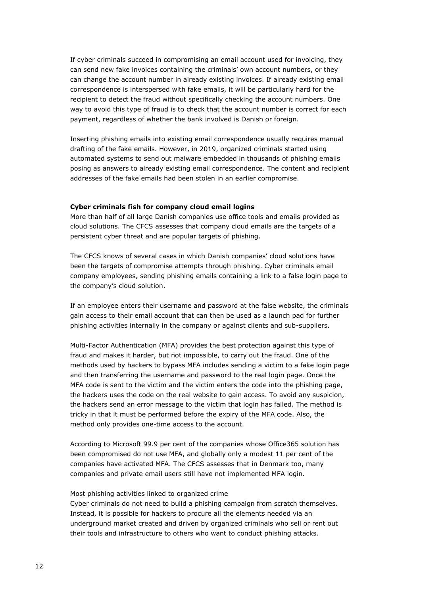If cyber criminals succeed in compromising an email account used for invoicing, they can send new fake invoices containing the criminals' own account numbers, or they can change the account number in already existing invoices. If already existing email correspondence is interspersed with fake emails, it will be particularly hard for the recipient to detect the fraud without specifically checking the account numbers. One way to avoid this type of fraud is to check that the account number is correct for each payment, regardless of whether the bank involved is Danish or foreign.

Inserting phishing emails into existing email correspondence usually requires manual drafting of the fake emails. However, in 2019, organized criminals started using automated systems to send out malware embedded in thousands of phishing emails posing as answers to already existing email correspondence. The content and recipient addresses of the fake emails had been stolen in an earlier compromise.

### <span id="page-11-0"></span>**Cyber criminals fish for company cloud email logins**

More than half of all large Danish companies use office tools and emails provided as cloud solutions. The CFCS assesses that company cloud emails are the targets of a persistent cyber threat and are popular targets of phishing.

The CFCS knows of several cases in which Danish companies' cloud solutions have been the targets of compromise attempts through phishing. Cyber criminals email company employees, sending phishing emails containing a link to a false login page to the company's cloud solution.

If an employee enters their username and password at the false website, the criminals gain access to their email account that can then be used as a launch pad for further phishing activities internally in the company or against clients and sub-suppliers.

Multi-Factor Authentication (MFA) provides the best protection against this type of fraud and makes it harder, but not impossible, to carry out the fraud. One of the methods used by hackers to bypass MFA includes sending a victim to a fake login page and then transferring the username and password to the real login page. Once the MFA code is sent to the victim and the victim enters the code into the phishing page, the hackers uses the code on the real website to gain access. To avoid any suspicion, the hackers send an error message to the victim that login has failed. The method is tricky in that it must be performed before the expiry of the MFA code. Also, the method only provides one-time access to the account.

According to Microsoft 99.9 per cent of the companies whose Office365 solution has been compromised do not use MFA, and globally only a modest 11 per cent of the companies have activated MFA. The CFCS assesses that in Denmark too, many companies and private email users still have not implemented MFA login.

#### Most phishing activities linked to organized crime

Cyber criminals do not need to build a phishing campaign from scratch themselves. Instead, it is possible for hackers to procure all the elements needed via an underground market created and driven by organized criminals who sell or rent out their tools and infrastructure to others who want to conduct phishing attacks.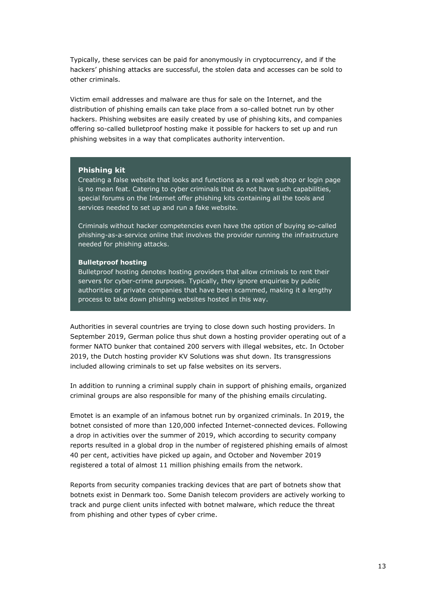Typically, these services can be paid for anonymously in cryptocurrency, and if the hackers' phishing attacks are successful, the stolen data and accesses can be sold to other criminals.

Victim email addresses and malware are thus for sale on the Internet, and the distribution of phishing emails can take place from a so-called botnet run by other hackers. Phishing websites are easily created by use of phishing kits, and companies offering so-called bulletproof hosting make it possible for hackers to set up and run phishing websites in a way that complicates authority intervention.

#### **Phishing kit**

Creating a false website that looks and functions as a real web shop or login page is no mean feat. Catering to cyber criminals that do not have such capabilities, special forums on the Internet offer phishing kits containing all the tools and services needed to set up and run a fake website.

Criminals without hacker competencies even have the option of buying so-called phishing-as-a-service online that involves the provider running the infrastructure needed for phishing attacks.

#### **Bulletproof hosting**

Bulletproof hosting denotes hosting providers that allow criminals to rent their servers for cyber-crime purposes. Typically, they ignore enquiries by public authorities or private companies that have been scammed, making it a lengthy process to take down phishing websites hosted in this way.

Authorities in several countries are trying to close down such hosting providers. In September 2019, German police thus shut down a hosting provider operating out of a former NATO bunker that contained 200 servers with illegal websites, etc. In October 2019, the Dutch hosting provider KV Solutions was shut down. Its transgressions included allowing criminals to set up false websites on its servers.

In addition to running a criminal supply chain in support of phishing emails, organized criminal groups are also responsible for many of the phishing emails circulating.

Emotet is an example of an infamous botnet run by organized criminals. In 2019, the botnet consisted of more than 120,000 infected Internet-connected devices. Following a drop in activities over the summer of 2019, which according to security company reports resulted in a global drop in the number of registered phishing emails of almost 40 per cent, activities have picked up again, and October and November 2019 registered a total of almost 11 million phishing emails from the network.

Reports from security companies tracking devices that are part of botnets show that botnets exist in Denmark too. Some Danish telecom providers are actively working to track and purge client units infected with botnet malware, which reduce the threat from phishing and other types of cyber crime.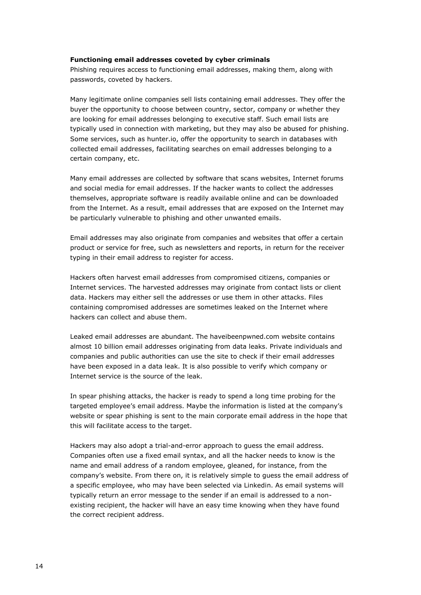#### <span id="page-13-0"></span>**Functioning email addresses coveted by cyber criminals**

Phishing requires access to functioning email addresses, making them, along with passwords, coveted by hackers.

Many legitimate online companies sell lists containing email addresses. They offer the buyer the opportunity to choose between country, sector, company or whether they are looking for email addresses belonging to executive staff. Such email lists are typically used in connection with marketing, but they may also be abused for phishing. Some services, such as hunter.io, offer the opportunity to search in databases with collected email addresses, facilitating searches on email addresses belonging to a certain company, etc.

Many email addresses are collected by software that scans websites, Internet forums and social media for email addresses. If the hacker wants to collect the addresses themselves, appropriate software is readily available online and can be downloaded from the Internet. As a result, email addresses that are exposed on the Internet may be particularly vulnerable to phishing and other unwanted emails.

Email addresses may also originate from companies and websites that offer a certain product or service for free, such as newsletters and reports, in return for the receiver typing in their email address to register for access.

Hackers often harvest email addresses from compromised citizens, companies or Internet services. The harvested addresses may originate from contact lists or client data. Hackers may either sell the addresses or use them in other attacks. Files containing compromised addresses are sometimes leaked on the Internet where hackers can collect and abuse them.

Leaked email addresses are abundant. The haveibeenpwned.com website contains almost 10 billion email addresses originating from data leaks. Private individuals and companies and public authorities can use the site to check if their email addresses have been exposed in a data leak. It is also possible to verify which company or Internet service is the source of the leak.

In spear phishing attacks, the hacker is ready to spend a long time probing for the targeted employee's email address. Maybe the information is listed at the company's website or spear phishing is sent to the main corporate email address in the hope that this will facilitate access to the target.

Hackers may also adopt a trial-and-error approach to guess the email address. Companies often use a fixed email syntax, and all the hacker needs to know is the name and email address of a random employee, gleaned, for instance, from the company's website. From there on, it is relatively simple to guess the email address of a specific employee, who may have been selected via Linkedin. As email systems will typically return an error message to the sender if an email is addressed to a nonexisting recipient, the hacker will have an easy time knowing when they have found the correct recipient address.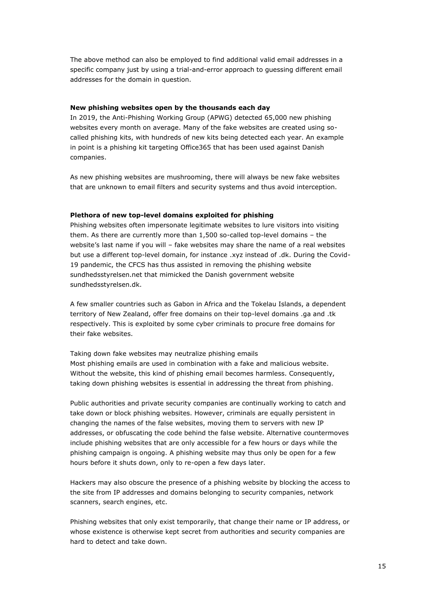The above method can also be employed to find additional valid email addresses in a specific company just by using a trial-and-error approach to guessing different email addresses for the domain in question.

# <span id="page-14-0"></span>**New phishing websites open by the thousands each day**

In 2019, the Anti-Phishing Working Group (APWG) detected 65,000 new phishing websites every month on average. Many of the fake websites are created using socalled phishing kits, with hundreds of new kits being detected each year. An example in point is a phishing kit targeting Office365 that has been used against Danish companies.

As new phishing websites are mushrooming, there will always be new fake websites that are unknown to email filters and security systems and thus avoid interception.

#### <span id="page-14-1"></span>**Plethora of new top-level domains exploited for phishing**

Phishing websites often impersonate legitimate websites to lure visitors into visiting them. As there are currently more than 1,500 so-called top-level domains – the website's last name if you will – fake websites may share the name of a real websites but use a different top-level domain, for instance .xyz instead of .dk. During the Covid-19 pandemic, the CFCS has thus assisted in removing the phishing website sundhedsstyrelsen.net that mimicked the Danish government website sundhedsstyrelsen.dk.

A few smaller countries such as Gabon in Africa and the Tokelau Islands, a dependent territory of New Zealand, offer free domains on their top-level domains .ga and .tk respectively. This is exploited by some cyber criminals to procure free domains for their fake websites.

Taking down fake websites may neutralize phishing emails Most phishing emails are used in combination with a fake and malicious website. Without the website, this kind of phishing email becomes harmless. Consequently, taking down phishing websites is essential in addressing the threat from phishing.

Public authorities and private security companies are continually working to catch and take down or block phishing websites. However, criminals are equally persistent in changing the names of the false websites, moving them to servers with new IP addresses, or obfuscating the code behind the false website. Alternative countermoves include phishing websites that are only accessible for a few hours or days while the phishing campaign is ongoing. A phishing website may thus only be open for a few hours before it shuts down, only to re-open a few days later.

Hackers may also obscure the presence of a phishing website by blocking the access to the site from IP addresses and domains belonging to security companies, network scanners, search engines, etc.

Phishing websites that only exist temporarily, that change their name or IP address, or whose existence is otherwise kept secret from authorities and security companies are hard to detect and take down.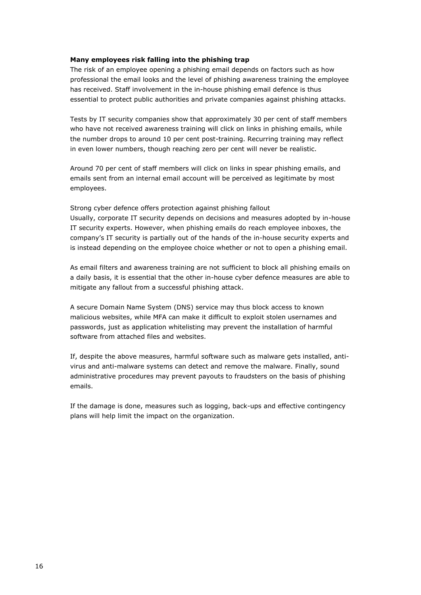## <span id="page-15-0"></span>**Many employees risk falling into the phishing trap**

The risk of an employee opening a phishing email depends on factors such as how professional the email looks and the level of phishing awareness training the employee has received. Staff involvement in the in-house phishing email defence is thus essential to protect public authorities and private companies against phishing attacks.

Tests by IT security companies show that approximately 30 per cent of staff members who have not received awareness training will click on links in phishing emails, while the number drops to around 10 per cent post-training. Recurring training may reflect in even lower numbers, though reaching zero per cent will never be realistic.

Around 70 per cent of staff members will click on links in spear phishing emails, and emails sent from an internal email account will be perceived as legitimate by most employees.

Strong cyber defence offers protection against phishing fallout Usually, corporate IT security depends on decisions and measures adopted by in-house IT security experts. However, when phishing emails do reach employee inboxes, the company's IT security is partially out of the hands of the in-house security experts and is instead depending on the employee choice whether or not to open a phishing email.

As email filters and awareness training are not sufficient to block all phishing emails on a daily basis, it is essential that the other in-house cyber defence measures are able to mitigate any fallout from a successful phishing attack.

A secure Domain Name System (DNS) service may thus block access to known malicious websites, while MFA can make it difficult to exploit stolen usernames and passwords, just as application whitelisting may prevent the installation of harmful software from attached files and websites.

If, despite the above measures, harmful software such as malware gets installed, antivirus and anti-malware systems can detect and remove the malware. Finally, sound administrative procedures may prevent payouts to fraudsters on the basis of phishing emails.

If the damage is done, measures such as logging, back-ups and effective contingency plans will help limit the impact on the organization.